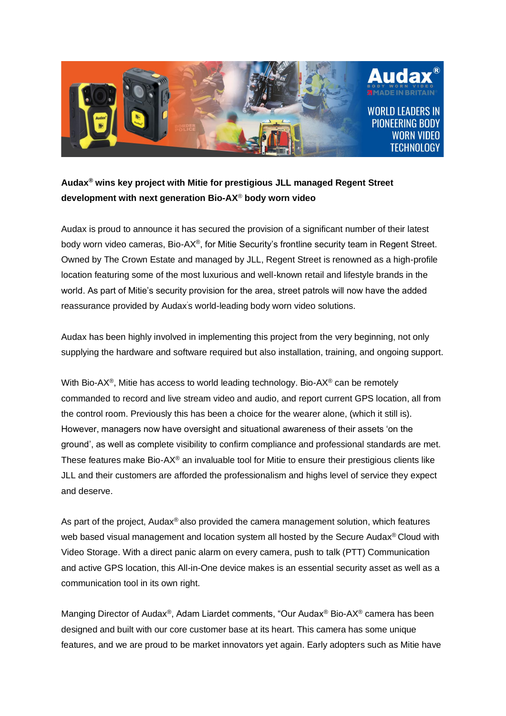

## **Audax® wins key project with Mitie for prestigious JLL managed Regent Street development with next generation Bio-AX**® **body worn video**

Audax is proud to announce it has secured the provision of a significant number of their latest body worn video cameras, Bio-AX®, for Mitie Security's frontline security team in Regent Street. Owned by The Crown Estate and managed by JLL, Regent Street is renowned as a high-profile location featuring some of the most luxurious and well-known retail and lifestyle brands in the world. As part of Mitie's security provision for the area, street patrols will now have the added reassurance provided by Audax's world-leading body worn video solutions.

Audax has been highly involved in implementing this project from the very beginning, not only supplying the hardware and software required but also installation, training, and ongoing support.

With Bio-AX<sup>®</sup>, Mitie has access to world leading technology. Bio-AX<sup>®</sup> can be remotely commanded to record and live stream video and audio, and report current GPS location, all from the control room. Previously this has been a choice for the wearer alone, (which it still is). However, managers now have oversight and situational awareness of their assets 'on the ground', as well as complete visibility to confirm compliance and professional standards are met. These features make Bio-AX® an invaluable tool for Mitie to ensure their prestigious clients like JLL and their customers are afforded the professionalism and highs level of service they expect and deserve.

As part of the project, Audax<sup>®</sup> also provided the camera management solution, which features web based visual management and location system all hosted by the Secure Audax® Cloud with Video Storage. With a direct panic alarm on every camera, push to talk (PTT) Communication and active GPS location, this All-in-One device makes is an essential security asset as well as a communication tool in its own right.

Manging Director of Audax®, Adam Liardet comments, "Our Audax® Bio-AX® camera has been designed and built with our core customer base at its heart. This camera has some unique features, and we are proud to be market innovators yet again. Early adopters such as Mitie have